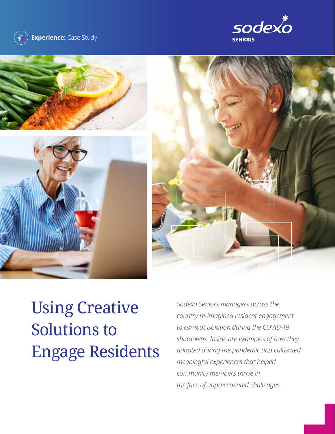









# Using Creative Solutions to Engage Residents

*Sodexo Seniors managers across the country re-imagined resident engagement to combat isolation during the COVID-19 shutdowns. Inside are examples of how they adapted during the pandemic and cultivated meaningful experiences that helped community members thrive in the face of unprecedented challenges.*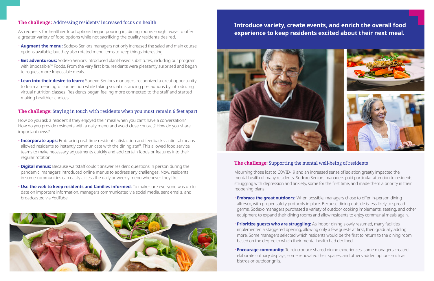### **The challenge:** Addressing residents' increased focus on health

As requests for healthier food options began pouring in, dining rooms sought ways to offer a greater variety of food options while not sacrificing the quality residents desired.

- **Augment the menu:** Sodexo Seniors managers not only increased the salad and main course options available, but they also rotated menu items to keep things interesting.
- **Get adventurous:** Sodexo Seniors introduced plant-based substitutes, including our program with Impossible™ Foods. From the very first bite, residents were pleasantly surprised and began to request more Impossible meals.
- **Lean into their desire to learn:** Sodexo Seniors managers recognized a great opportunity to form a meaningful connection while taking social distancing precautions by introducing virtual nutrition classes. Residents began feeling more connected to the staff and started making healthier choices.

#### **The challenge:** Staying in touch with residents when you must remain 6 feet apart

How do you ask a resident if they enjoyed their meal when you can't have a conversation? How do you provide residents with a daily menu and avoid close contact? How do you share important news?

- **Incorporate apps:** Embracing real-time resident satisfaction and feedback via digital means allowed residents to instantly communicate with the dining staff. This allowed food service teams to make necessary adjustments quickly and add certain foods or features into their regular rotation.
- **Digital menus:** Because waitstaff could't answer resident questions in person during the pandemic, managers introduced online menus to address any challenges. Now, residents in some communities can easily access the daily or weekly menu whenever they like.
- **Use the web to keep residents and families informed:** To make sure everyone was up to date on important information, managers communicated via social media, sent emails, and broadcasted via YouTube.



# **Introduce variety, create events, and enrich the overall food experience to keep residents excited about their next meal.**



## **The challenge:** Supporting the mental well-being of residents

Mourning those lost to COVID-19 and an increased sense of isolation greatly impacted the mental health of many residents. Sodexo Seniors managers paid particular attention to residents struggling with depression and anxiety, some for the first time, and made them a priority in their reopening plans.

• **Embrace the great outdoors:** When possible, managers chose to offer in-person dining alfresco, with proper safety protocols in place. Because dining outside is less likely to spread germs, Sodexo managers purchased a variety of outdoor cooking implements, seating, and other equipment to expand their dining rooms and allow residents to enjoy communal meals again.

implemented a staggered opening, allowing only a few guests at first, then gradually adding more. Some managers selected which residents would be the first to return to the dining room

- 
- **Prioritize guests who are struggling:** As indoor dining slowly resumed, many facilities based on the degree to which their mental health had declined.
- bistros or outdoor grills.

• **Encourage community:** To reintroduce shared dining experiences, some managers created elaborate culinary displays, some renovated their spaces, and others added options such as